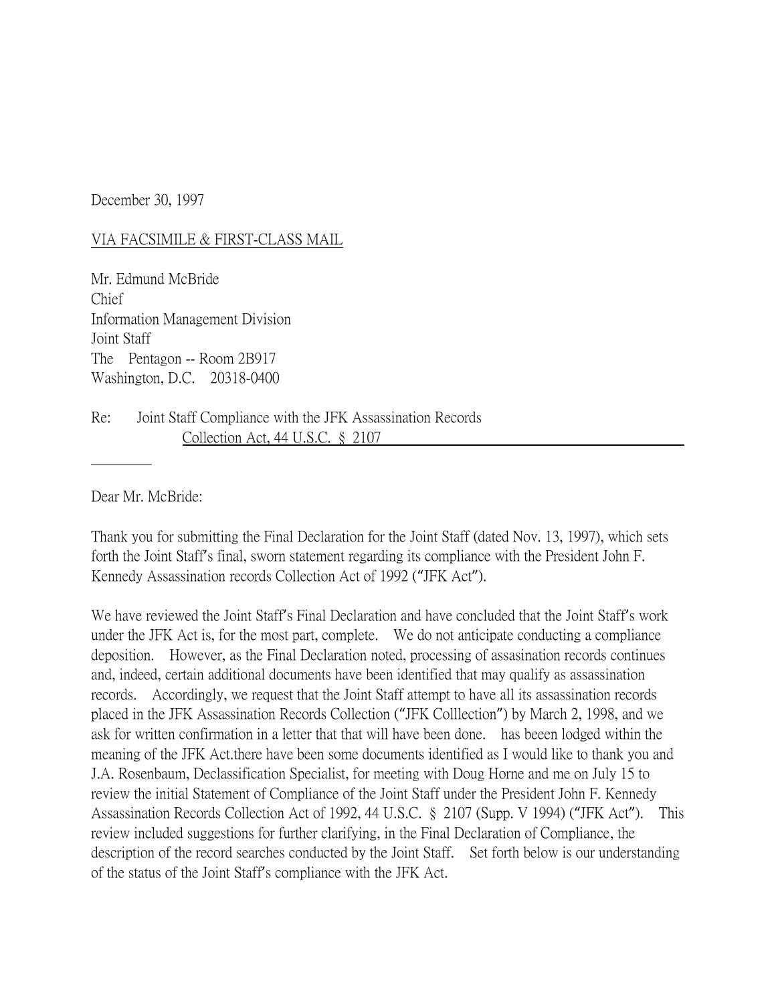December 30, 1997

## VIA FACSIMILE & FIRST-CLASS MAIL

Mr. Edmund McBride Chief Information Management Division Joint Staff The Pentagon -- Room 2B917 Washington, D.C. 20318-0400

Re: Joint Staff Compliance with the JFK Assassination Records Collection Act, 44 U.S.C. § 2107

Dear Mr. McBride:

Thank you for submitting the Final Declaration for the Joint Staff (dated Nov. 13, 1997), which sets forth the Joint Staff's final, sworn statement regarding its compliance with the President John F. Kennedy Assassination records Collection Act of 1992 ("JFK Act").

We have reviewed the Joint Staff's Final Declaration and have concluded that the Joint Staff's work under the JFK Act is, for the most part, complete. We do not anticipate conducting a compliance deposition. However, as the Final Declaration noted, processing of assasination records continues and, indeed, certain additional documents have been identified that may qualify as assassination records. Accordingly, we request that the Joint Staff attempt to have all its assassination records placed in the JFK Assassination Records Collection ("JFK Colllection") by March 2, 1998, and we ask for written confirmation in a letter that that will have been done. has beeen lodged within the meaning of the JFK Act.there have been some documents identified as I would like to thank you and J.A. Rosenbaum, Declassification Specialist, for meeting with Doug Horne and me on July 15 to review the initial Statement of Compliance of the Joint Staff under the President John F. Kennedy Assassination Records Collection Act of 1992, 44 U.S.C. § 2107 (Supp. V 1994) ("JFK Act"). This review included suggestions for further clarifying, in the Final Declaration of Compliance, the description of the record searches conducted by the Joint Staff. Set forth below is our understanding of the status of the Joint Staff's compliance with the JFK Act.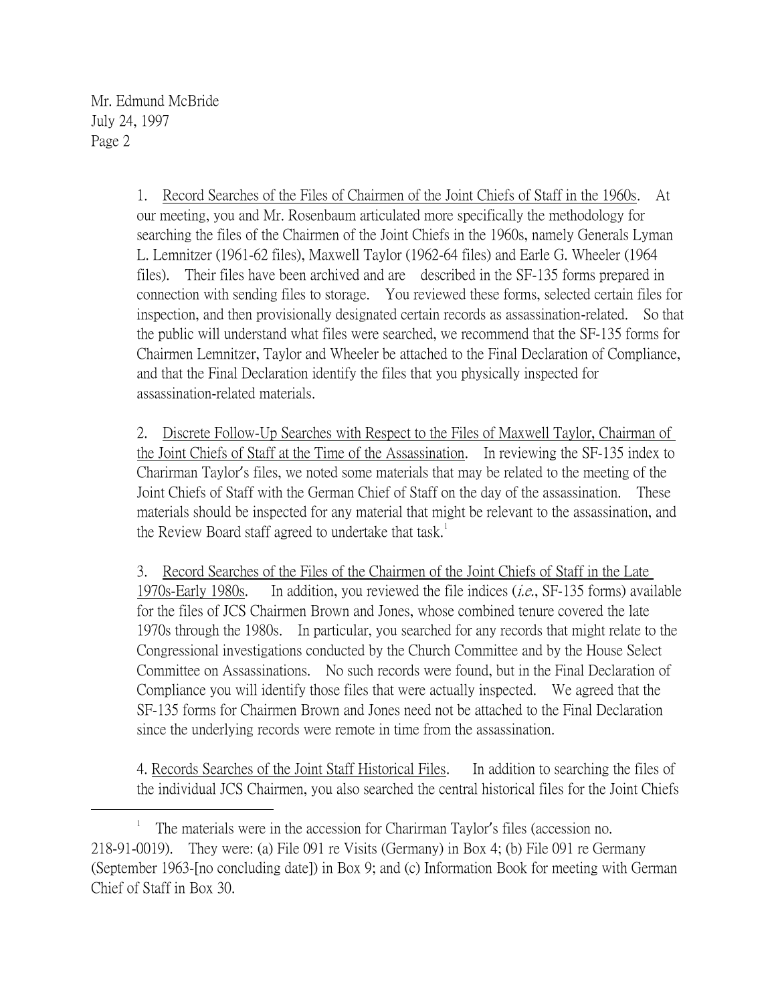Mr. Edmund McBride July 24, 1997 Page 2

 $\overline{a}$ 

1. Record Searches of the Files of Chairmen of the Joint Chiefs of Staff in the 1960s. At our meeting, you and Mr. Rosenbaum articulated more specifically the methodology for searching the files of the Chairmen of the Joint Chiefs in the 1960s, namely Generals Lyman L. Lemnitzer (1961-62 files), Maxwell Taylor (1962-64 files) and Earle G. Wheeler (1964 files). Their files have been archived and are described in the SF-135 forms prepared in connection with sending files to storage. You reviewed these forms, selected certain files for inspection, and then provisionally designated certain records as assassination-related. So that the public will understand what files were searched, we recommend that the SF-135 forms for Chairmen Lemnitzer, Taylor and Wheeler be attached to the Final Declaration of Compliance, and that the Final Declaration identify the files that you physically inspected for assassination-related materials.

2. Discrete Follow-Up Searches with Respect to the Files of Maxwell Taylor, Chairman of the Joint Chiefs of Staff at the Time of the Assassination. In reviewing the SF-135 index to Charirman Taylor's files, we noted some materials that may be related to the meeting of the Joint Chiefs of Staff with the German Chief of Staff on the day of the assassination. These materials should be inspected for any material that might be relevant to the assassination, and the Review Board staff agreed to undertake that task.<sup>1</sup>

3. Record Searches of the Files of the Chairmen of the Joint Chiefs of Staff in the Late 1970s-Early 1980s. In addition, you reviewed the file indices (i.e., SF-135 forms) available for the files of JCS Chairmen Brown and Jones, whose combined tenure covered the late 1970s through the 1980s. In particular, you searched for any records that might relate to the Congressional investigations conducted by the Church Committee and by the House Select Committee on Assassinations. No such records were found, but in the Final Declaration of Compliance you will identify those files that were actually inspected. We agreed that the SF-135 forms for Chairmen Brown and Jones need not be attached to the Final Declaration since the underlying records were remote in time from the assassination.

4. Records Searches of the Joint Staff Historical Files. In addition to searching the files of the individual JCS Chairmen, you also searched the central historical files for the Joint Chiefs

<sup>1</sup> The materials were in the accession for Charirman Taylor's files (accession no. 218-91-0019). They were: (a) File 091 re Visits (Germany) in Box 4; (b) File 091 re Germany (September 1963-[no concluding date]) in Box 9; and (c) Information Book for meeting with German Chief of Staff in Box 30.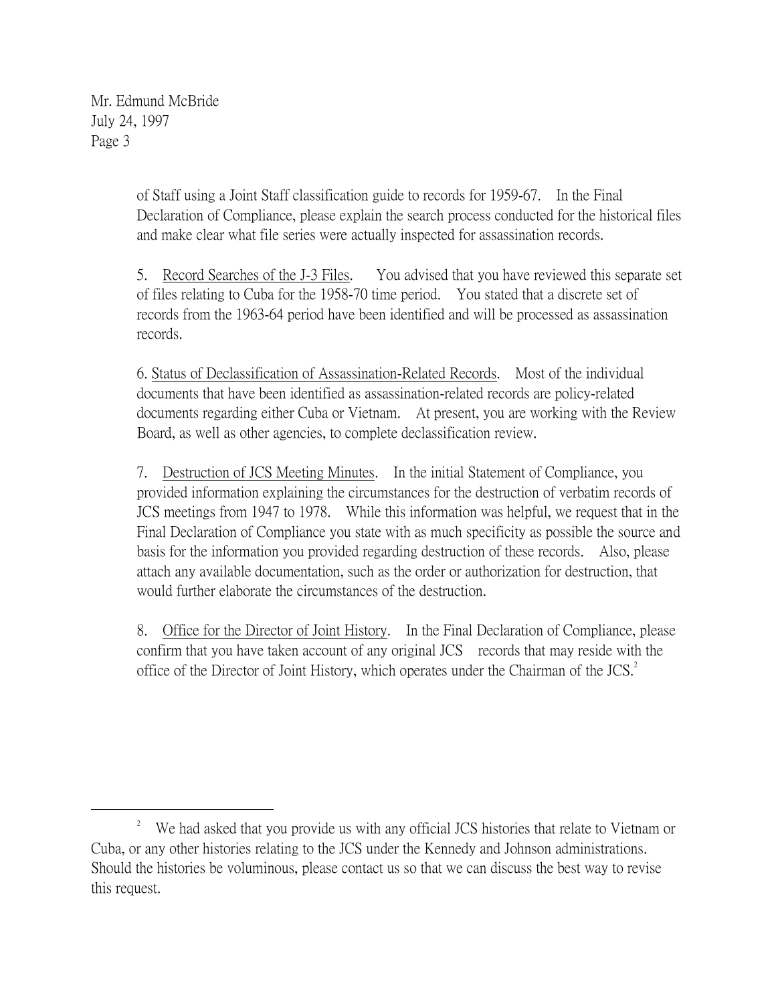Mr. Edmund McBride July 24, 1997 Page 3

 $\overline{a}$ 

of Staff using a Joint Staff classification guide to records for 1959-67. In the Final Declaration of Compliance, please explain the search process conducted for the historical files and make clear what file series were actually inspected for assassination records.

5. Record Searches of the J-3 Files. You advised that you have reviewed this separate set of files relating to Cuba for the 1958-70 time period. You stated that a discrete set of records from the 1963-64 period have been identified and will be processed as assassination records.

6. Status of Declassification of Assassination-Related Records. Most of the individual documents that have been identified as assassination-related records are policy-related documents regarding either Cuba or Vietnam. At present, you are working with the Review Board, as well as other agencies, to complete declassification review.

7. Destruction of JCS Meeting Minutes. In the initial Statement of Compliance, you provided information explaining the circumstances for the destruction of verbatim records of JCS meetings from 1947 to 1978. While this information was helpful, we request that in the Final Declaration of Compliance you state with as much specificity as possible the source and basis for the information you provided regarding destruction of these records. Also, please attach any available documentation, such as the order or authorization for destruction, that would further elaborate the circumstances of the destruction.

8. Office for the Director of Joint History. In the Final Declaration of Compliance, please confirm that you have taken account of any original JCS records that may reside with the office of the Director of Joint History, which operates under the Chairman of the JCS.<sup>2</sup>

<sup>2</sup> We had asked that you provide us with any official JCS histories that relate to Vietnam or Cuba, or any other histories relating to the JCS under the Kennedy and Johnson administrations. Should the histories be voluminous, please contact us so that we can discuss the best way to revise this request.